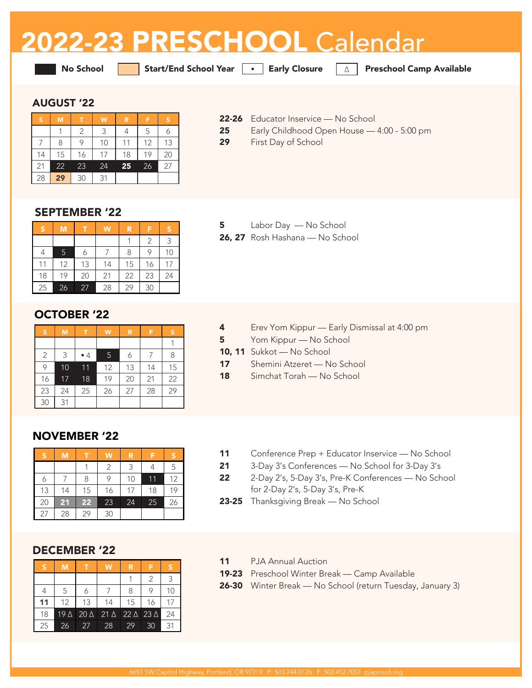# 2022-23 PRESCHOOL Calendar

No School Start/End School Year **•** Early Closure ∆ Preschool Camp Available

# AUGUST '22

| ۱Š | M  |    | W  | R  | F  |    |
|----|----|----|----|----|----|----|
|    |    | 2  | 3  | 4  | 5  |    |
|    | 8  | 9  | 10 | 11 | 12 | 13 |
| 14 | 15 | 16 | 17 | 18 | 19 | 20 |
| 21 | 22 | 23 | 24 | 25 | 26 | 27 |
| 28 | 29 | 30 | 31 |    |    |    |

- 22-26 Educator Inservice No School
- 25 Early Childhood Open House 4:00 5:00 pm
- 29 First Day of School

# SEPTEMBER '22

| 'S | M  |    | W  | R  | F  | S  |
|----|----|----|----|----|----|----|
|    |    |    |    |    | 2  | 3  |
|    | 5  | 6  |    | 8  | 9  | 10 |
| 11 | 12 | 13 | 14 | 15 | 16 | 17 |
| 18 | 19 | 20 | 21 | 22 | 23 | 24 |
| 25 | 26 | 27 | 28 | 29 | 30 |    |

# OCTOBER '22

| S  | M  | т           | W  | R  | F  | S  |
|----|----|-------------|----|----|----|----|
|    |    |             |    |    |    |    |
| 2  | 3  | $\bullet$ 4 | 5  | 6  |    | 8  |
| 9  | 10 | 11          | 12 | 13 | 14 | 15 |
| 16 | 17 | 18          | 19 | 20 | 21 | 22 |
| 23 | 24 | 25          | 26 | 27 | 28 | 29 |
| 30 | 31 |             |    |    |    |    |

#### 5 Labor Day — No School 26, 27 Rosh Hashana — No School

- 4 Erev Yom Kippur Early Dismissal at 4:00 pm
- 5 Yom Kippur No School
- 10, 11 Sukkot No School
- 17 Shemini Atzeret No School
- 18 Simchat Torah No School

# NOVEMBER '22

| <b>S</b> | M  |                 | W  | R  | F  | S  |
|----------|----|-----------------|----|----|----|----|
|          |    |                 | 2  | 3  |    | 5  |
|          |    | 8               | 9  | 10 | 11 | 12 |
| 13       | 14 | 15              | 16 | 17 | 18 | 19 |
| 20       | 21 | $\overline{2}2$ | 23 | 24 | 25 | 26 |
| 27       | 28 | 29              | 30 |    |    |    |

# DECEMBER '22

| S  | М          |             | w           | R           |            |    |
|----|------------|-------------|-------------|-------------|------------|----|
|    |            |             |             |             | 2          | 3  |
|    | 5          |             |             | 8           |            | 10 |
| 11 | 12         | 13          | 14          | 15          | 16         | 17 |
| 18 | $19\Delta$ | $20 \Delta$ | $21 \Delta$ | $22 \Delta$ | $23\Delta$ | 24 |
| 25 | 26         | 27          | 28          | 29          | 30         | 31 |

- 11 Conference Prep + Educator Inservice No School
- 21 3-Day 3's Conferences No School for 3-Day 3's
- 22 2-Day 2's, 5-Day 3's, Pre-K Conferences No School for 2-Day 2's, 5-Day 3's, Pre-K
- 23-25 Thanksgiving Break No School
- 11 PJA Annual Auction
- 19-23 Preschool Winter Break Camp Available
- 26-30 Winter Break No School (return Tuesday, January 3)